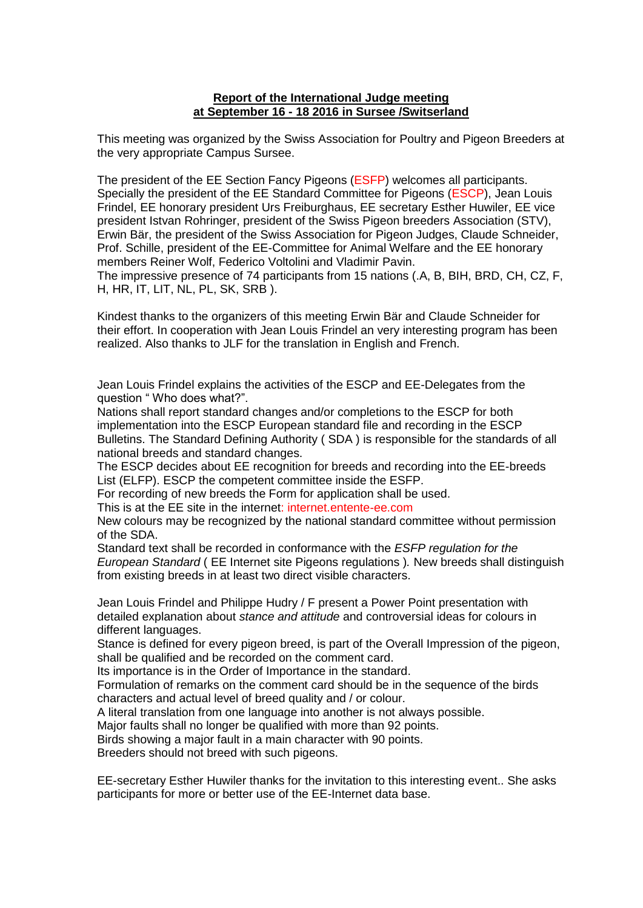## **Report of the International Judge meeting at September 16 - 18 2016 in Sursee /Switserland**

This meeting was organized by the Swiss Association for Poultry and Pigeon Breeders at the very appropriate Campus Sursee.

The president of the EE Section Fancy Pigeons (ESFP) welcomes all participants. Specially the president of the EE Standard Committee for Pigeons (ESCP), Jean Louis Frindel, EE honorary president Urs Freiburghaus, EE secretary Esther Huwiler, EE vice president Istvan Rohringer, president of the Swiss Pigeon breeders Association (STV), Erwin Bär, the president of the Swiss Association for Pigeon Judges, Claude Schneider, Prof. Schille, president of the EE-Committee for Animal Welfare and the EE honorary members Reiner Wolf, Federico Voltolini and Vladimir Pavin.

The impressive presence of 74 participants from 15 nations (.A, B, BIH, BRD, CH, CZ, F, H, HR, IT, LIT, NL, PL, SK, SRB ).

Kindest thanks to the organizers of this meeting Erwin Bär and Claude Schneider for their effort. In cooperation with Jean Louis Frindel an very interesting program has been realized. Also thanks to JLF for the translation in English and French.

Jean Louis Frindel explains the activities of the ESCP and EE-Delegates from the question " Who does what?".

Nations shall report standard changes and/or completions to the ESCP for both implementation into the ESCP European standard file and recording in the ESCP Bulletins. The Standard Defining Authority ( SDA ) is responsible for the standards of all national breeds and standard changes.

The ESCP decides about EE recognition for breeds and recording into the EE-breeds List (ELFP). ESCP the competent committee inside the ESFP.

For recording of new breeds the Form for application shall be used.

This is at the EE site in the internet: internet.entente-ee.com

New colours may be recognized by the national standard committee without permission of the SDA.

Standard text shall be recorded in conformance with the *ESFP regulation for the European Standard* ( EE Internet site Pigeons regulations )*.* New breeds shall distinguish from existing breeds in at least two direct visible characters.

Jean Louis Frindel and Philippe Hudry / F present a Power Point presentation with detailed explanation about *stance and attitude* and controversial ideas for colours in different languages.

Stance is defined for every pigeon breed, is part of the Overall Impression of the pigeon, shall be qualified and be recorded on the comment card.

Its importance is in the Order of Importance in the standard.

Formulation of remarks on the comment card should be in the sequence of the birds characters and actual level of breed quality and / or colour.

A literal translation from one language into another is not always possible.

Major faults shall no longer be qualified with more than 92 points.

Birds showing a major fault in a main character with 90 points.

Breeders should not breed with such pigeons.

EE-secretary Esther Huwiler thanks for the invitation to this interesting event.. She asks participants for more or better use of the EE-Internet data base.